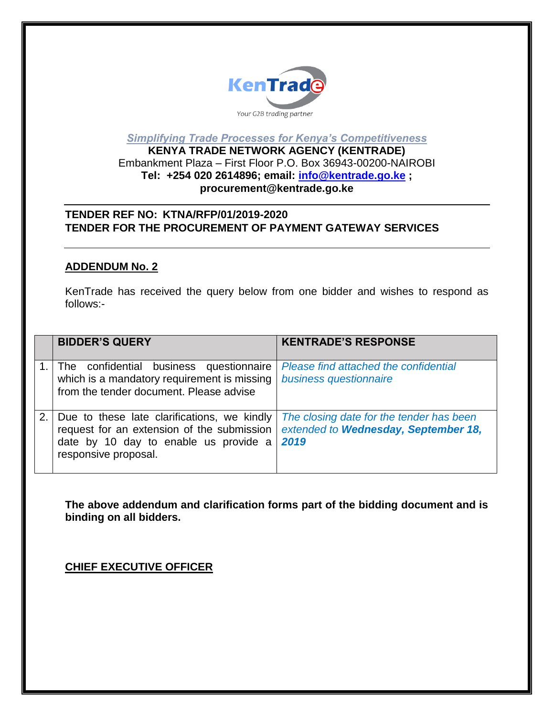

*Simplifying Trade Processes for Kenya's Competitiveness*

## **KENYA TRADE NETWORK AGENCY (KENTRADE)** Embankment Plaza – First Floor P.O. Box 36943-00200-NAIROBI **Tel: +254 020 2614896; email: [info@kentrade.go.ke](mailto:info@kentrade.go.ke) ; procurement@kentrade.go.ke**

## **TENDER REF NO: KTNA/RFP/01/2019-2020 TENDER FOR THE PROCUREMENT OF PAYMENT GATEWAY SERVICES**

## **ADDENDUM No. 2**

KenTrade has received the query below from one bidder and wishes to respond as follows:-

|    | <b>BIDDER'S QUERY</b>                                                                                                                                      | <b>KENTRADE'S RESPONSE</b>                                                               |
|----|------------------------------------------------------------------------------------------------------------------------------------------------------------|------------------------------------------------------------------------------------------|
|    | The confidential business questionnaire<br>which is a mandatory requirement is missing<br>from the tender document. Please advise                          | Please find attached the confidential<br>business questionnaire                          |
| 2. | Due to these late clarifications, we kindly<br>request for an extension of the submission<br>date by 10 day to enable us provide a<br>responsive proposal. | The closing date for the tender has been<br>extended to Wednesday, September 18,<br>2019 |

**The above addendum and clarification forms part of the bidding document and is binding on all bidders.** 

**CHIEF EXECUTIVE OFFICER**